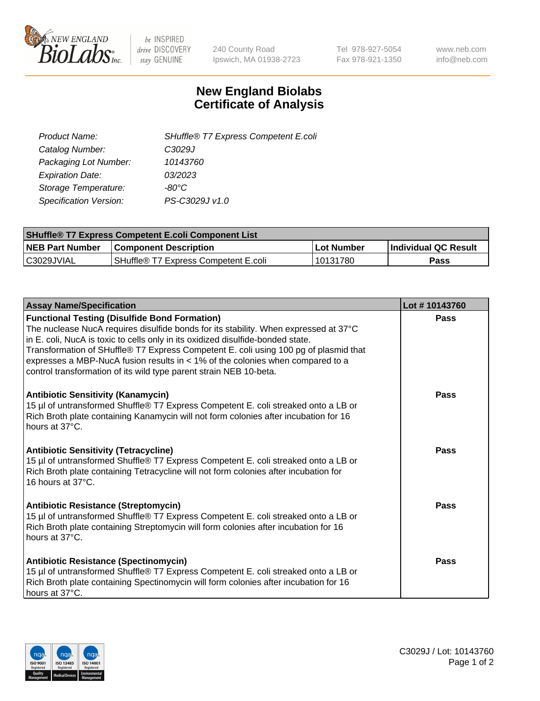

 $be$  INSPIRED drive DISCOVERY stay GENUINE

240 County Road Ipswich, MA 01938-2723 Tel 978-927-5054 Fax 978-921-1350 www.neb.com info@neb.com

## **New England Biolabs Certificate of Analysis**

| SHuffle® T7 Express Competent E.coli |
|--------------------------------------|
| C3029J                               |
| 10143760                             |
| 03/2023                              |
| -80°C                                |
| PS-C3029J v1.0                       |
|                                      |

| <b>SHuffle<sup>®</sup> T7 Express Competent E.coli Component List</b> |                                      |            |                             |  |
|-----------------------------------------------------------------------|--------------------------------------|------------|-----------------------------|--|
| <b>NEB Part Number</b>                                                | <b>Component Description</b>         | Lot Number | <b>Individual QC Result</b> |  |
| C3029JVIAL                                                            | SHuffle® T7 Express Competent E.coli | 10131780   | Pass                        |  |

| <b>Assay Name/Specification</b>                                                                                                                                                                                                                                                                                                                                                                                                                                                   | Lot #10143760 |
|-----------------------------------------------------------------------------------------------------------------------------------------------------------------------------------------------------------------------------------------------------------------------------------------------------------------------------------------------------------------------------------------------------------------------------------------------------------------------------------|---------------|
| <b>Functional Testing (Disulfide Bond Formation)</b><br>The nuclease NucA requires disulfide bonds for its stability. When expressed at 37°C<br>in E. coli, NucA is toxic to cells only in its oxidized disulfide-bonded state.<br>Transformation of SHuffle® T7 Express Competent E. coli using 100 pg of plasmid that<br>expresses a MBP-NucA fusion results in $<$ 1% of the colonies when compared to a<br>control transformation of its wild type parent strain NEB 10-beta. | Pass          |
| <b>Antibiotic Sensitivity (Kanamycin)</b><br>15 µl of untransformed Shuffle® T7 Express Competent E. coli streaked onto a LB or<br>Rich Broth plate containing Kanamycin will not form colonies after incubation for 16<br>hours at 37°C.                                                                                                                                                                                                                                         | Pass          |
| <b>Antibiotic Sensitivity (Tetracycline)</b><br>15 µl of untransformed Shuffle® T7 Express Competent E. coli streaked onto a LB or<br>Rich Broth plate containing Tetracycline will not form colonies after incubation for<br>16 hours at 37°C.                                                                                                                                                                                                                                   | Pass          |
| <b>Antibiotic Resistance (Streptomycin)</b><br>15 µl of untransformed Shuffle® T7 Express Competent E. coli streaked onto a LB or<br>Rich Broth plate containing Streptomycin will form colonies after incubation for 16<br>hours at 37°C.                                                                                                                                                                                                                                        | Pass          |
| <b>Antibiotic Resistance (Spectinomycin)</b><br>15 µl of untransformed Shuffle® T7 Express Competent E. coli streaked onto a LB or<br>Rich Broth plate containing Spectinomycin will form colonies after incubation for 16<br>hours at 37°C.                                                                                                                                                                                                                                      | Pass          |